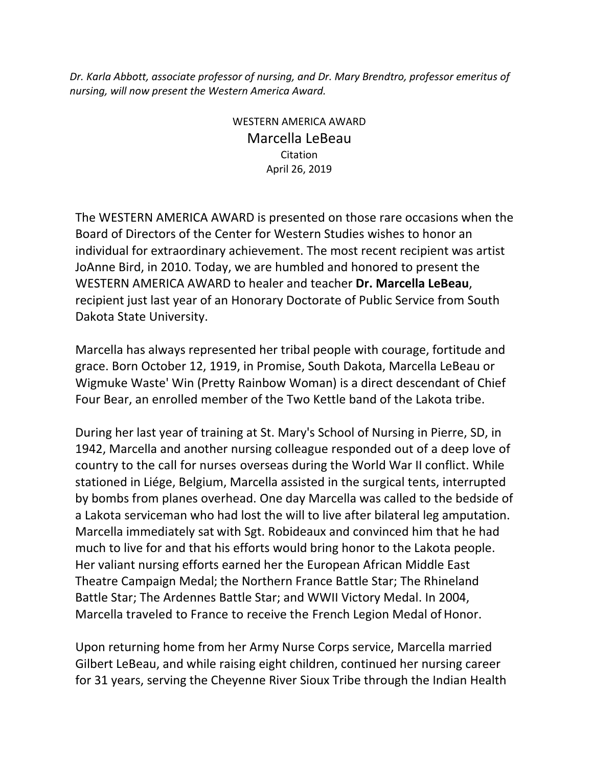*Dr. Karla Abbott, associate professor of nursing, and Dr. Mary Brendtro, professor emeritus of nursing, will now present the Western America Award.*

> WESTERN AMERICA AWARD Marcella LeBeau Citation April 26, 2019

The WESTERN AMERICA AWARD is presented on those rare occasions when the Board of Directors of the Center for Western Studies wishes to honor an individual for extraordinary achievement. The most recent recipient was artist JoAnne Bird, in 2010. Today, we are humbled and honored to present the WESTERN AMERICA AWARD to healer and teacher **Dr. Marcella LeBeau**, recipient just last year of an Honorary Doctorate of Public Service from South Dakota State University.

Marcella has always represented her tribal people with courage, fortitude and grace. Born October 12, 1919, in Promise, South Dakota, Marcella LeBeau or Wigmuke Waste' Win (Pretty Rainbow Woman) is a direct descendant of Chief Four Bear, an enrolled member of the Two Kettle band of the Lakota tribe.

During her last year of training at St. Mary's School of Nursing in Pierre, SD, in 1942, Marcella and another nursing colleague responded out of a deep love of country to the call for nurses overseas during the World War II conflict. While stationed in Liége, Belgium, Marcella assisted in the surgical tents, interrupted by bombs from planes overhead. One day Marcella was called to the bedside of a Lakota serviceman who had lost the will to live after bilateral leg amputation. Marcella immediately sat with Sgt. Robideaux and convinced him that he had much to live for and that his efforts would bring honor to the Lakota people. Her valiant nursing efforts earned her the European African Middle East Theatre Campaign Medal; the Northern France Battle Star; The Rhineland Battle Star; The Ardennes Battle Star; and WWII Victory Medal. In 2004, Marcella traveled to France to receive the French Legion Medal of Honor.

Upon returning home from her Army Nurse Corps service, Marcella married Gilbert LeBeau, and while raising eight children, continued her nursing career for 31 years, serving the Cheyenne River Sioux Tribe through the Indian Health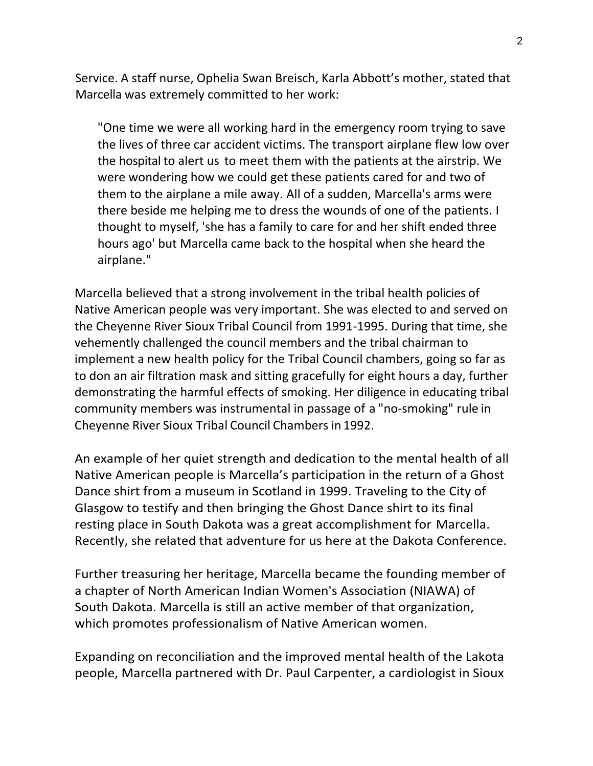Service. A staff nurse, Ophelia Swan Breisch, Karla Abbott's mother, stated that Marcella was extremely committed to her work:

"One time we were all working hard in the emergency room trying to save the lives of three car accident victims. The transport airplane flew low over the hospital to alert us to meet them with the patients at the airstrip. We were wondering how we could get these patients cared for and two of them to the airplane a mile away. All of a sudden, Marcella's arms were there beside me helping me to dress the wounds of one of the patients. I thought to myself, 'she has a family to care for and her shift ended three hours ago' but Marcella came back to the hospital when she heard the airplane."

Marcella believed that a strong involvement in the tribal health policies of Native American people was very important. She was elected to and served on the Cheyenne River Sioux Tribal Council from 1991-1995. During that time, she vehemently challenged the council members and the tribal chairman to implement a new health policy for the Tribal Council chambers, going so far as to don an air filtration mask and sitting gracefully for eight hours a day, further demonstrating the harmful effects of smoking. Her diligence in educating tribal community members was instrumental in passage of a "no-smoking" rule in Cheyenne River Sioux Tribal Council Chambers in 1992.

An example of her quiet strength and dedication to the mental health of all Native American people is Marcella's participation in the return of a Ghost Dance shirt from a museum in Scotland in 1999. Traveling to the City of Glasgow to testify and then bringing the Ghost Dance shirt to its final resting place in South Dakota was a great accomplishment for Marcella. Recently, she related that adventure for us here at the Dakota Conference.

Further treasuring her heritage, Marcella became the founding member of a chapter of North American Indian Women's Association (NIAWA) of South Dakota. Marcella is still an active member of that organization, which promotes professionalism of Native American women.

Expanding on reconciliation and the improved mental health of the Lakota people, Marcella partnered with Dr. Paul Carpenter, a cardiologist in Sioux